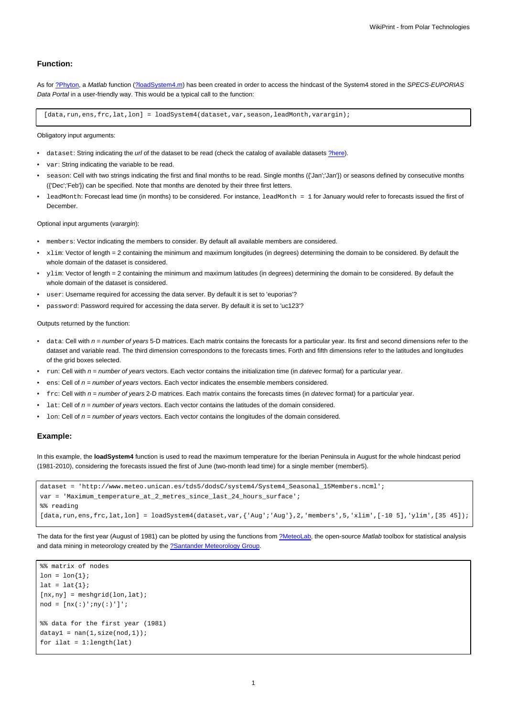## **Function:**

As for [?Phyton,](https://www.meteo.unican.es/trac/meteo/wiki/SpecsEuporias/Interfaces/RPackage/Python) a Matlab function ([?loadSystem4.m](https://www.meteo.unican.es/trac/MLToolbox/browser/MLToolbox/trunk/MLToolbox_experiments/antonio/system4/matlab/loadSystem4.m)) has been created in order to access the hindcast of the System4 stored in the SPECS-EUPORIAS Data Portal in a user-friendly way. This would be a typical call to the function:

[data,run,ens,frc,lat,lon] = loadSystem4(dataset,var,season,leadMonth,varargin);

Obligatory input arguments:

- dataset: String indicating the url of the dataset to be read (check the catalog of available datasets [?here\)](https://www.meteo.unican.es/trac/meteo/wiki/SpecsEuporias/DataServer/Datasets).
- var: String indicating the variable to be read.
- season: Cell with two strings indicating the first and final months to be read. Single months ({'Jan';'Jan'}) or seasons defined by consecutive months ({'Dec';'Feb'}) can be specified. Note that months are denoted by their three first letters.
- leadMonth: Forecast lead time (in months) to be considered. For instance, leadMonth = 1 for January would refer to forecasts issued the first of **December**

Optional input arguments (varargin):

- members: Vector indicating the members to consider. By default all available members are considered.
- xlim: Vector of length = 2 containing the minimum and maximum longitudes (in degrees) determining the domain to be considered. By default the whole domain of the dataset is considered.
- ylim: Vector of length = 2 containing the minimum and maximum latitudes (in degrees) determining the domain to be considered. By default the whole domain of the dataset is considered.
- user: Username required for accessing the data server. By default it is set to 'euporias'?
- password: Password required for accessing the data server. By default it is set to 'uc123'?

Outputs returned by the function:

- data: Cell with  $n = number$  of years 5-D matrices. Each matrix contains the forecasts for a particular year. Its first and second dimensions refer to the dataset and variable read. The third dimension correspondons to the forecasts times. Forth and fifth dimensions refer to the latitudes and longitudes of the grid boxes selected.
- run: Cell with  $n = number$  of years vectors. Each vector contains the initialization time (in *datevec* format) for a particular year.
- $ens:$  Cell of  $n = number$  of years vectors. Each vector indicates the ensemble members considered.
- $frc$ : Cell with  $n = number$  of years 2-D matrices. Each matrix contains the forecasts times (in *datevec* format) for a particular year.
- $l$ at: Cell of  $n =$  number of years vectors. Each vector contains the latitudes of the domain considered.
- 1 on: Cell of  $n =$  number of years vectors. Each vector contains the longitudes of the domain considered.

## **Example:**

In this example, the **loadSystem4** function is used to read the maximum temperature for the Iberian Peninsula in August for the whole hindcast period (1981-2010), considering the forecasts issued the first of June (two-month lead time) for a single member (member5).

```
dataset = 'http://www.meteo.unican.es/tds5/dodsC/system4/System4_Seasonal_15Members.ncml';
var = 'Maximum_temperature_at_2_metres_since_last_24_hours_surface';
%% reading
[data,run,ens,frc,lat,lon] = loadSystem4(dataset,var,{'Aug';'Aug'},2,'members',5,'xlim',[-10 5],'ylim',[35 45]);
```
The data for the first year (August of 1981) can be plotted by using the functions from [?MeteoLab](https://www.mdm.unican.es/trac/MLToolbox), the open-source Matlab toolbox for statistical analysis and data mining in meteorology created by the [?Santander Meteorology Group.](http://www.meteo.unican.es/en/main)

```
%% matrix of nodes
lon = lon{1};lat = lat{1};[nx,ny] = meshgrid(lon,lat);nod = \lceil nx(:)';ny(:)']';
%% data for the first year (1981)
datay1 = nan(1,size(nod,1));for ilat = 1:length(lat)
```